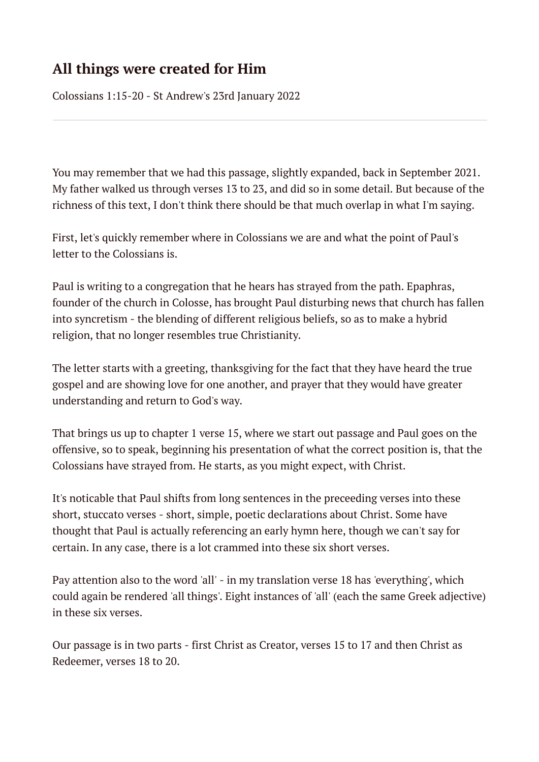# **All things were created for Him**

Colossians 1:15-20 - St Andrew's 23rd January 2022

You may remember that we had this passage, slightly expanded, back in September 2021. My father walked us through verses 13 to 23, and did so in some detail. But because of the richness of this text, I don't think there should be that much overlap in what I'm saying.

First, let's quickly remember where in Colossians we are and what the point of Paul's letter to the Colossians is.

Paul is writing to a congregation that he hears has strayed from the path. Epaphras, founder of the church in Colosse, has brought Paul disturbing news that church has fallen into syncretism - the blending of different religious beliefs, so as to make a hybrid religion, that no longer resembles true Christianity.

The letter starts with a greeting, thanksgiving for the fact that they have heard the true gospel and are showing love for one another, and prayer that they would have greater understanding and return to God's way.

That brings us up to chapter 1 verse 15, where we start out passage and Paul goes on the offensive, so to speak, beginning his presentation of what the correct position is, that the Colossians have strayed from. He starts, as you might expect, with Christ.

It's noticable that Paul shifts from long sentences in the preceeding verses into these short, stuccato verses - short, simple, poetic declarations about Christ. Some have thought that Paul is actually referencing an early hymn here, though we can't say for certain. In any case, there is a lot crammed into these six short verses.

Pay attention also to the word 'all' - in my translation verse 18 has 'everything', which could again be rendered 'all things'. Eight instances of 'all' (each the same Greek adjective) in these six verses.

Our passage is in two parts - first Christ as Creator, verses 15 to 17 and then Christ as Redeemer, verses 18 to 20.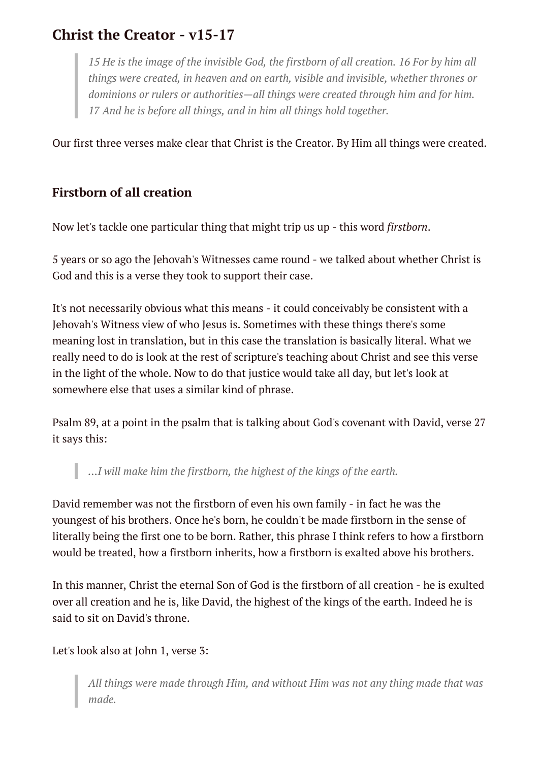# **Christ the Creator - v15-17**

*15 He is the image of the invisible God, the firstborn of all creation. 16 For by him all things were created, in heaven and on earth, visible and invisible, whether thrones or dominions or rulers or authorities—all things were created through him and for him. 17 And he is before all things, and in him all things hold together.*

Our first three verses make clear that Christ is the Creator. By Him all things were created.

### **Firstborn of all creation**

Now let's tackle one particular thing that might trip us up - this word *firstborn*.

5 years or so ago the Jehovah's Witnesses came round - we talked about whether Christ is God and this is a verse they took to support their case.

It's not necessarily obvious what this means - it could conceivably be consistent with a Jehovah's Witness view of who Jesus is. Sometimes with these things there's some meaning lost in translation, but in this case the translation is basically literal. What we really need to do is look at the rest of scripture's teaching about Christ and see this verse in the light of the whole. Now to do that justice would take all day, but let's look at somewhere else that uses a similar kind of phrase.

Psalm 89, at a point in the psalm that is talking about God's covenant with David, verse 27 it says this:

*...I will make him the firstborn, the highest of the kings of the earth.*

David remember was not the firstborn of even his own family - in fact he was the youngest of his brothers. Once he's born, he couldn't be made firstborn in the sense of literally being the first one to be born. Rather, this phrase I think refers to how a firstborn would be treated, how a firstborn inherits, how a firstborn is exalted above his brothers.

In this manner, Christ the eternal Son of God is the firstborn of all creation - he is exulted over all creation and he is, like David, the highest of the kings of the earth. Indeed he is said to sit on David's throne.

Let's look also at John 1, verse 3:

I

*All things were made through Him, and without Him was not any thing made that was made.*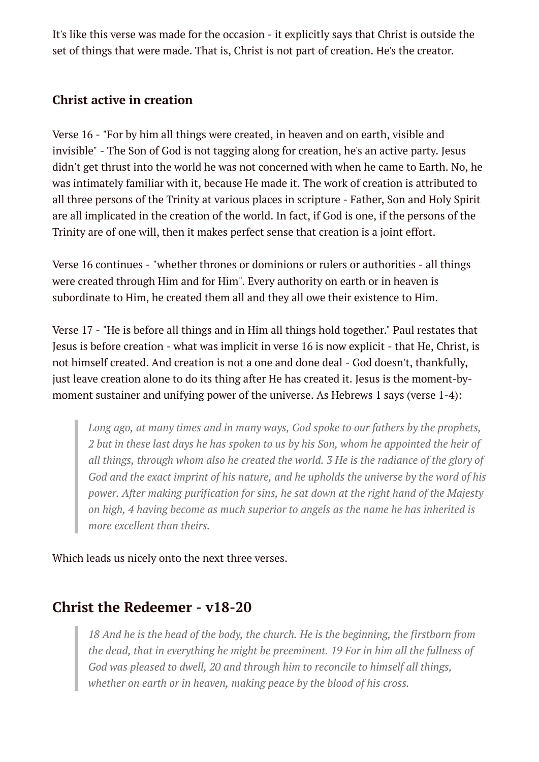It's like this verse was made for the occasion - it explicitly says that Christ is outside the set of things that were made. That is, Christ is not part of creation. He's the creator.

### **Christ active in creation**

Verse 16 - "For by him all things were created, in heaven and on earth, visible and invisible" - The Son of God is not tagging along for creation, he's an active party. Jesus didn't get thrust into the world he was not concerned with when he came to Earth. No, he was intimately familiar with it, because He made it. The work of creation is attributed to all three persons of the Trinity at various places in scripture - Father, Son and Holy Spirit are all implicated in the creation of the world. In fact, if God is one, if the persons of the Trinity are of one will, then it makes perfect sense that creation is a joint effort.

Verse 16 continues - "whether thrones or dominions or rulers or authorities - all things were created through Him and for Him". Every authority on earth or in heaven is subordinate to Him, he created them all and they all owe their existence to Him.

Verse 17 - "He is before all things and in Him all things hold together." Paul restates that Jesus is before creation - what was implicit in verse 16 is now explicit - that He, Christ, is not himself created. And creation is not a one and done deal - God doesn't, thankfully, just leave creation alone to do its thing after He has created it. Jesus is the moment-bymoment sustainer and unifying power of the universe. As Hebrews 1 says (verse 1-4):

*Long ago, at many times and in many ways, God spoke to our fathers by the prophets,* 2 but in these last days he has spoken to us by his Son, whom he appointed the heir of *all things, through whom also he created the world. 3 He is the radiance of the glory of God and the exact imprint of his nature, and he upholds the universe by the word of his power. After making purification for sins, he sat down at the right hand of the Majesty on high, 4 having become as much superior to angels as the name he has inherited is more excellent than theirs.*

Which leads us nicely onto the next three verses.

## **Christ the Redeemer - v18-20**

*18 And he is the head of the body, the church. He is the beginning, the firstborn from the dead, that in everything he might be preeminent. 19 For in him all the fullness of God was pleased to dwell, 20 and through him to reconcile to himself all things, whether on earth or in heaven, making peace by the blood of his cross.*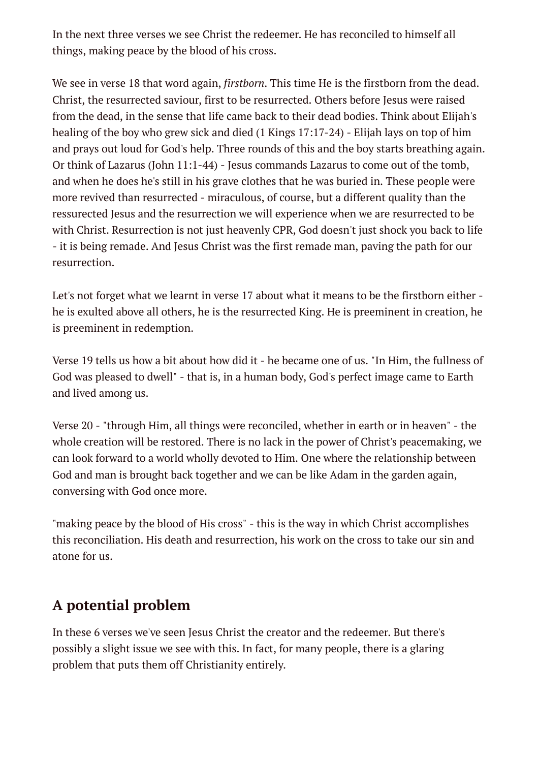In the next three verses we see Christ the redeemer. He has reconciled to himself all things, making peace by the blood of his cross.

We see in verse 18 that word again, *firstborn*. This time He is the firstborn from the dead. Christ, the resurrected saviour, first to be resurrected. Others before Jesus were raised from the dead, in the sense that life came back to their dead bodies. Think about Elijah's healing of the boy who grew sick and died (1 Kings 17:17-24) - Elijah lays on top of him and prays out loud for God's help. Three rounds of this and the boy starts breathing again. Or think of Lazarus (John 11:1-44) - Jesus commands Lazarus to come out of the tomb, and when he does he's still in his grave clothes that he was buried in. These people were more revived than resurrected - miraculous, of course, but a different quality than the ressurected Jesus and the resurrection we will experience when we are resurrected to be with Christ. Resurrection is not just heavenly CPR, God doesn't just shock you back to life - it is being remade. And Jesus Christ was the first remade man, paving the path for our resurrection.

Let's not forget what we learnt in verse 17 about what it means to be the firstborn either he is exulted above all others, he is the resurrected King. He is preeminent in creation, he is preeminent in redemption.

Verse 19 tells us how a bit about how did it - he became one of us. "In Him, the fullness of God was pleased to dwell" - that is, in a human body, God's perfect image came to Earth and lived among us.

Verse 20 - "through Him, all things were reconciled, whether in earth or in heaven" - the whole creation will be restored. There is no lack in the power of Christ's peacemaking, we can look forward to a world wholly devoted to Him. One where the relationship between God and man is brought back together and we can be like Adam in the garden again, conversing with God once more.

"making peace by the blood of His cross" - this is the way in which Christ accomplishes this reconciliation. His death and resurrection, his work on the cross to take our sin and atone for us.

# **A potential problem**

In these 6 verses we've seen Jesus Christ the creator and the redeemer. But there's possibly a slight issue we see with this. In fact, for many people, there is a glaring problem that puts them off Christianity entirely.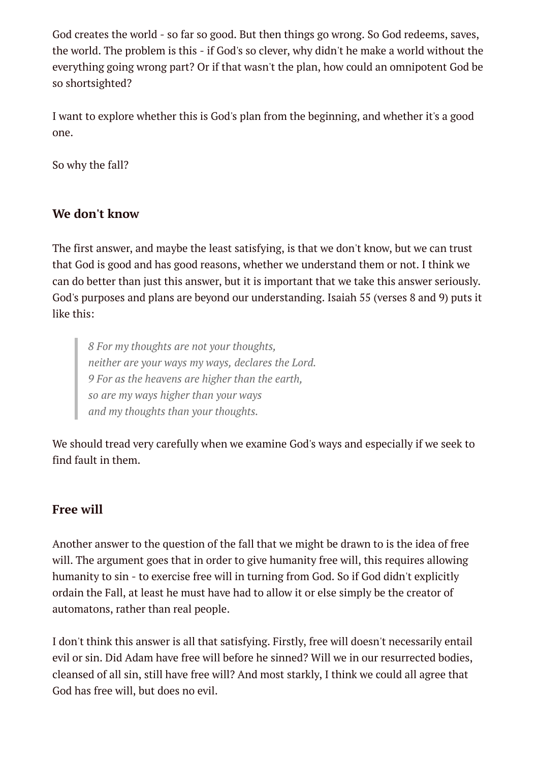God creates the world - so far so good. But then things go wrong. So God redeems, saves, the world. The problem is this - if God's so clever, why didn't he make a world without the everything going wrong part? Or if that wasn't the plan, how could an omnipotent God be so shortsighted?

I want to explore whether this is God's plan from the beginning, and whether it's a good one.

So why the fall?

### **We don't know**

The first answer, and maybe the least satisfying, is that we don't know, but we can trust that God is good and has good reasons, whether we understand them or not. I think we can do better than just this answer, but it is important that we take this answer seriously. God's purposes and plans are beyond our understanding. Isaiah 55 (verses 8 and 9) puts it like this:

*8 For my thoughts are not your thoughts, neither are your ways my ways, declares the Lord. 9 For as the heavens are higher than the earth, so are my ways higher than your ways and my thoughts than your thoughts.*

We should tread very carefully when we examine God's ways and especially if we seek to find fault in them.

#### **Free will**

Another answer to the question of the fall that we might be drawn to is the idea of free will. The argument goes that in order to give humanity free will, this requires allowing humanity to sin - to exercise free will in turning from God. So if God didn't explicitly ordain the Fall, at least he must have had to allow it or else simply be the creator of automatons, rather than real people.

I don't think this answer is all that satisfying. Firstly, free will doesn't necessarily entail evil or sin. Did Adam have free will before he sinned? Will we in our resurrected bodies, cleansed of all sin, still have free will? And most starkly, I think we could all agree that God has free will, but does no evil.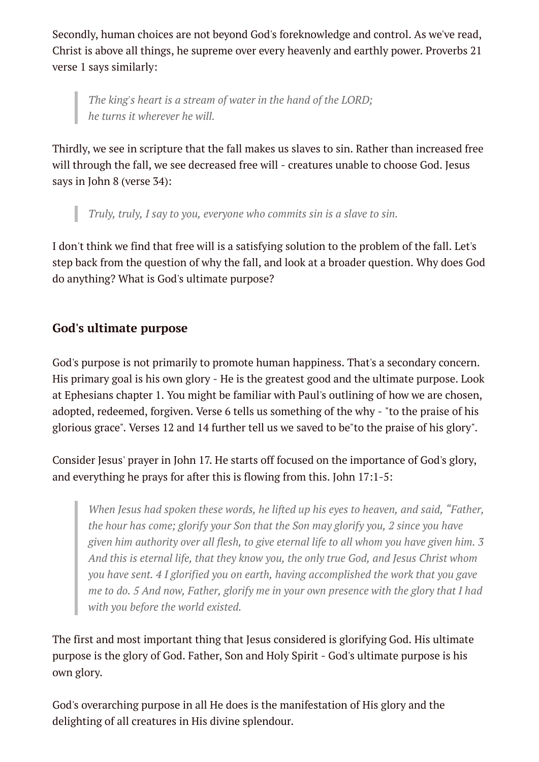Secondly, human choices are not beyond God's foreknowledge and control. As we've read, Christ is above all things, he supreme over every heavenly and earthly power. Proverbs 21 verse 1 says similarly:

*The king's heart is a stream of water in the hand of the LORD; he turns it wherever he will.*

Thirdly, we see in scripture that the fall makes us slaves to sin. Rather than increased free will through the fall, we see decreased free will - creatures unable to choose God. Jesus says in John 8 (verse 34):

*Truly, truly, I say to you, everyone who commits sin is a slave to sin.*

I don't think we find that free will is a satisfying solution to the problem of the fall. Let's step back from the question of why the fall, and look at a broader question. Why does God do anything? What is God's ultimate purpose?

## **God's ultimate purpose**

God's purpose is not primarily to promote human happiness. That's a secondary concern. His primary goal is his own glory - He is the greatest good and the ultimate purpose. Look at Ephesians chapter 1. You might be familiar with Paul's outlining of how we are chosen, adopted, redeemed, forgiven. Verse 6 tells us something of the why - "to the praise of his glorious grace". Verses 12 and 14 further tell us we saved to be"to the praise of his glory".

Consider Jesus' prayer in John 17. He starts off focused on the importance of God's glory, and everything he prays for after this is flowing from this. John 17:1-5:

*When Jesus had spoken these words, he lifted up his eyes to heaven, and said, "Father, the hour has come; glorify your Son that the Son may glorify you, 2 since you have given him authority over all flesh, to give eternal life to all whom you have given him. 3 And this is eternal life, that they know you, the only true God, and Jesus Christ whom you have sent. 4 I glorified you on earth, having accomplished the work that you gave me to do. 5 And now, Father, glorify me in your own presence with the glory that I had with you before the world existed.*

The first and most important thing that Jesus considered is glorifying God. His ultimate purpose is the glory of God. Father, Son and Holy Spirit - God's ultimate purpose is his own glory.

God's overarching purpose in all He does is the manifestation of His glory and the delighting of all creatures in His divine splendour.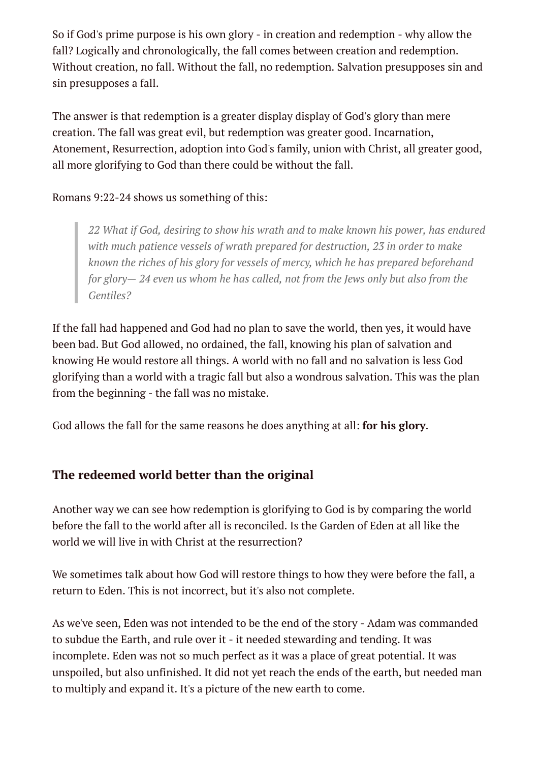So if God's prime purpose is his own glory - in creation and redemption - why allow the fall? Logically and chronologically, the fall comes between creation and redemption. Without creation, no fall. Without the fall, no redemption. Salvation presupposes sin and sin presupposes a fall.

The answer is that redemption is a greater display display of God's glory than mere creation. The fall was great evil, but redemption was greater good. Incarnation, Atonement, Resurrection, adoption into God's family, union with Christ, all greater good, all more glorifying to God than there could be without the fall.

#### Romans 9:22-24 shows us something of this:

*22 What if God, desiring to show his wrath and to make known his power, has endured with much patience vessels of wrath prepared for destruction, 23 in order to make known the riches of his glory for vessels of mercy, which he has prepared beforehand for glory— 24 even us whom he has called, not from the Jews only but also from the Gentiles?*

If the fall had happened and God had no plan to save the world, then yes, it would have been bad. But God allowed, no ordained, the fall, knowing his plan of salvation and knowing He would restore all things. A world with no fall and no salvation is less God glorifying than a world with a tragic fall but also a wondrous salvation. This was the plan from the beginning - the fall was no mistake.

God allows the fall for the same reasons he does anything at all: **for his glory**.

### **The redeemed world better than the original**

Another way we can see how redemption is glorifying to God is by comparing the world before the fall to the world after all is reconciled. Is the Garden of Eden at all like the world we will live in with Christ at the resurrection?

We sometimes talk about how God will restore things to how they were before the fall, a return to Eden. This is not incorrect, but it's also not complete.

As we've seen, Eden was not intended to be the end of the story - Adam was commanded to subdue the Earth, and rule over it - it needed stewarding and tending. It was incomplete. Eden was not so much perfect as it was a place of great potential. It was unspoiled, but also unfinished. It did not yet reach the ends of the earth, but needed man to multiply and expand it. It's a picture of the new earth to come.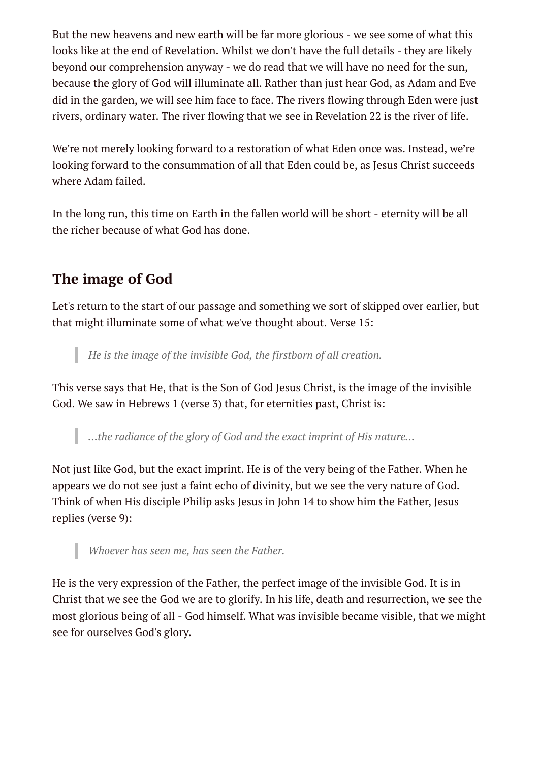But the new heavens and new earth will be far more glorious - we see some of what this looks like at the end of Revelation. Whilst we don't have the full details - they are likely beyond our comprehension anyway - we do read that we will have no need for the sun, because the glory of God will illuminate all. Rather than just hear God, as Adam and Eve did in the garden, we will see him face to face. The rivers flowing through Eden were just rivers, ordinary water. The river flowing that we see in Revelation 22 is the river of life.

We're not merely looking forward to a restoration of what Eden once was. Instead, we're looking forward to the consummation of all that Eden could be, as Jesus Christ succeeds where Adam failed.

In the long run, this time on Earth in the fallen world will be short - eternity will be all the richer because of what God has done.

# **The image of God**

I

Let's return to the start of our passage and something we sort of skipped over earlier, but that might illuminate some of what we've thought about. Verse 15:

*He is the image of the invisible God, the firstborn of all creation.*

This verse says that He, that is the Son of God Jesus Christ, is the image of the invisible God. We saw in Hebrews 1 (verse 3) that, for eternities past, Christ is:

*...the radiance of the glory of God and the exact imprint of His nature...*

Not just like God, but the exact imprint. He is of the very being of the Father. When he appears we do not see just a faint echo of divinity, but we see the very nature of God. Think of when His disciple Philip asks Jesus in John 14 to show him the Father, Jesus replies (verse 9):

*Whoever has seen me, has seen the Father.*

He is the very expression of the Father, the perfect image of the invisible God. It is in Christ that we see the God we are to glorify. In his life, death and resurrection, we see the most glorious being of all - God himself. What was invisible became visible, that we might see for ourselves God's glory.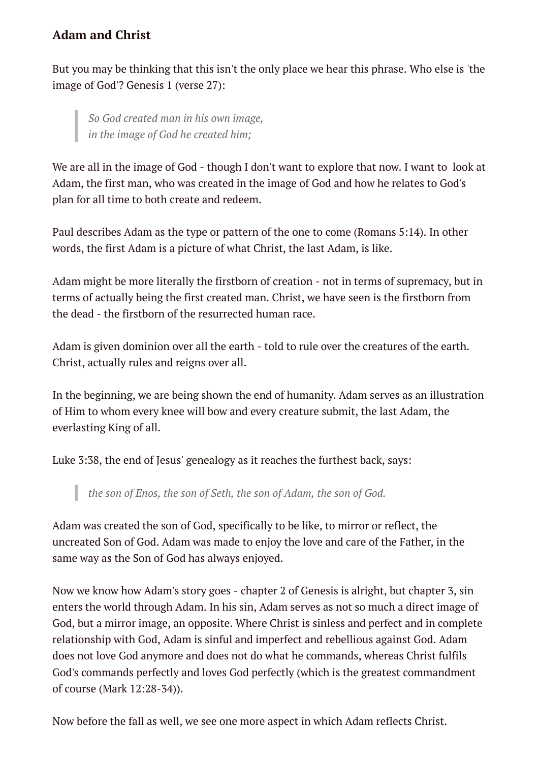### **Adam and Christ**

But you may be thinking that this isn't the only place we hear this phrase. Who else is 'the image of God'? Genesis 1 (verse 27):

*So God created man in his own image, in the image of God he created him;*

We are all in the image of God - though I don't want to explore that now. I want to look at Adam, the first man, who was created in the image of God and how he relates to God's plan for all time to both create and redeem.

Paul describes Adam as the type or pattern of the one to come (Romans 5:14). In other words, the first Adam is a picture of what Christ, the last Adam, is like.

Adam might be more literally the firstborn of creation - not in terms of supremacy, but in terms of actually being the first created man. Christ, we have seen is the firstborn from the dead - the firstborn of the resurrected human race.

Adam is given dominion over all the earth - told to rule over the creatures of the earth. Christ, actually rules and reigns over all.

In the beginning, we are being shown the end of humanity. Adam serves as an illustration of Him to whom every knee will bow and every creature submit, the last Adam, the everlasting King of all.

Luke 3:38, the end of Jesus' genealogy as it reaches the furthest back, says:

*the son of Enos, the son of Seth, the son of Adam, the son of God.*

Adam was created the son of God, specifically to be like, to mirror or reflect, the uncreated Son of God. Adam was made to enjoy the love and care of the Father, in the same way as the Son of God has always enjoyed.

Now we know how Adam's story goes - chapter 2 of Genesis is alright, but chapter 3, sin enters the world through Adam. In his sin, Adam serves as not so much a direct image of God, but a mirror image, an opposite. Where Christ is sinless and perfect and in complete relationship with God, Adam is sinful and imperfect and rebellious against God. Adam does not love God anymore and does not do what he commands, whereas Christ fulfils God's commands perfectly and loves God perfectly (which is the greatest commandment of course (Mark 12:28-34)).

Now before the fall as well, we see one more aspect in which Adam reflects Christ.